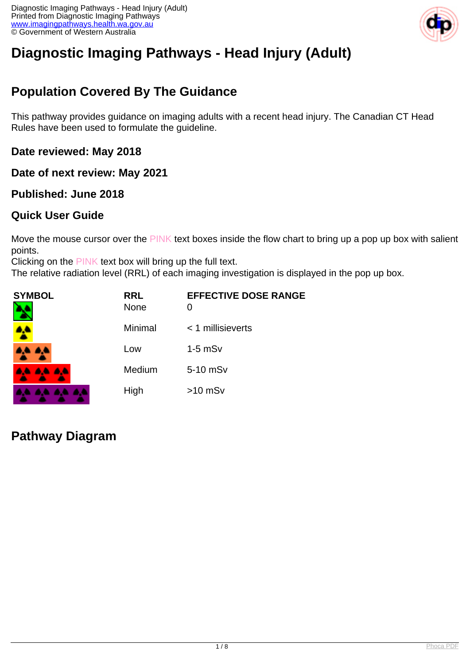

# **Diagnostic Imaging Pathways - Head Injury (Adult)**

# **Population Covered By The Guidance**

This pathway provides guidance on imaging adults with a recent head injury. The Canadian CT Head Rules have been used to formulate the guideline.

**Date reviewed: May 2018**

**Date of next review: May 2021**

### **Published: June 2018**

### **Quick User Guide**

Move the mouse cursor over the PINK text boxes inside the flow chart to bring up a pop up box with salient points.

Clicking on the PINK text box will bring up the full text.

The relative radiation level (RRL) of each imaging investigation is displayed in the pop up box.

| <b>SYMBOL</b> | <b>RRL</b><br><b>None</b> | <b>EFFECTIVE DOSE RANGE</b> |
|---------------|---------------------------|-----------------------------|
| ሏ             | Minimal                   | $<$ 1 millisieverts         |
| 4,4 A,4       | Low                       | $1-5$ mS $v$                |
| 4A 4A 4A      | Medium                    | 5-10 mSv                    |
|               | High                      | $>10$ mSv                   |

**Pathway Diagram**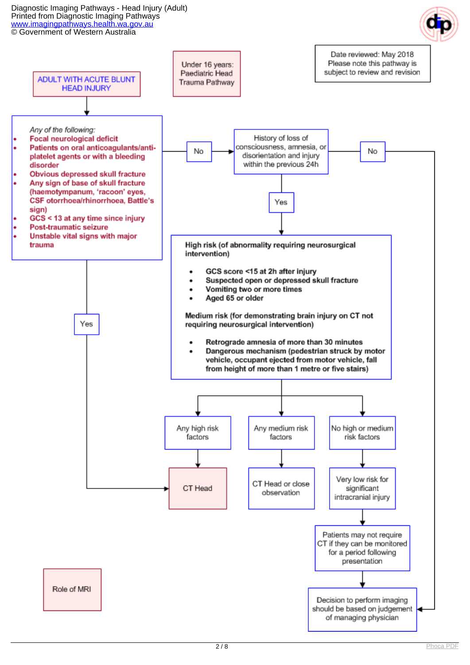Diagnostic Imaging Pathways - Head Injury (Adult) Printed from Diagnostic Imaging Pathways [www.imagingpathways.health.wa.gov.au](http://www.imagingpathways.health.wa.gov.au/) © Government of Western Australia



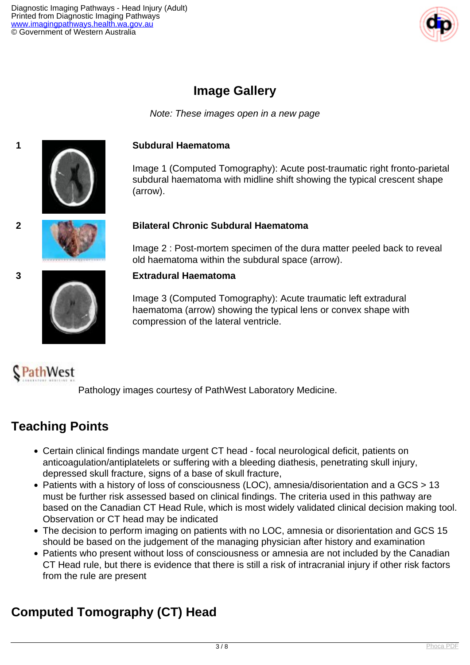

## **Image Gallery**

Note: These images open in a new page



#### **1 Subdural Haematoma**

Image 1 (Computed Tomography): Acute post-traumatic right fronto-parietal subdural haematoma with midline shift showing the typical crescent shape (arrow).



#### **2 Bilateral Chronic Subdural Haematoma**

Image 2 : Post-mortem specimen of the dura matter peeled back to reveal old haematoma within the subdural space (arrow).

#### **3 Extradural Haematoma**

Image 3 (Computed Tomography): Acute traumatic left extradural haematoma (arrow) showing the typical lens or convex shape with compression of the lateral ventricle.

# PathWest

Pathology images courtesy of PathWest Laboratory Medicine.

## **Teaching Points**

- Certain clinical findings mandate urgent CT head focal neurological deficit, patients on anticoagulation/antiplatelets or suffering with a bleeding diathesis, penetrating skull injury, depressed skull fracture, signs of a base of skull fracture,
- Patients with a history of loss of consciousness (LOC), amnesia/disorientation and a GCS > 13 must be further risk assessed based on clinical findings. The criteria used in this pathway are based on the Canadian CT Head Rule, which is most widely validated clinical decision making tool. Observation or CT head may be indicated
- The decision to perform imaging on patients with no LOC, amnesia or disorientation and GCS 15 should be based on the judgement of the managing physician after history and examination
- Patients who present without loss of consciousness or amnesia are not included by the Canadian CT Head rule, but there is evidence that there is still a risk of intracranial injury if other risk factors from the rule are present

# **Computed Tomography (CT) Head**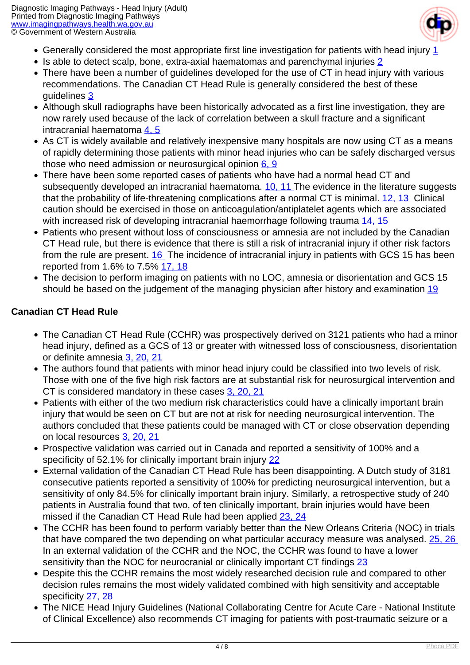

- Generally considered the most appropriate first line investigation for patients with head injury [1](index.php?option=com_content&view=article&id=111&tab=references)
- $\bullet$  Is able to detect scalp, bone, extra-axial haematomas and parenchymal injuries  $2$
- There have been a number of guidelines developed for the use of CT in head injury with various recommendations. The Canadian CT Head Rule is generally considered the best of these guidelines [3](index.php?option=com_content&view=article&id=111&tab=references)
- Although skull radiographs have been historically advocated as a first line investigation, they are now rarely used because of the lack of correlation between a skull fracture and a significant intracranial haematoma  $4.5$
- As CT is widely available and relatively inexpensive many hospitals are now using CT as a means of rapidly determining those patients with minor head injuries who can be safely discharged versus those who need admission or neurosurgical opinion  $6, 9$
- There have been some reported cases of patients who have had a normal head CT and subsequently developed an intracranial haematoma. [10, 11](index.php?option=com_content&view=article&id=111&tab=references) The evidence in the literature suggests that the probability of life-threatening complications after a normal CT is minimal. [12, 13](index.php?option=com_content&view=article&id=111&tab=references) Clinical caution should be exercised in those on anticoagulation/antiplatelet agents which are associated with increased risk of developing intracranial haemorrhage following trauma [14, 15](index.php?option=com_content&view=article&id=111&tab=references)
- Patients who present without loss of consciousness or amnesia are not included by the Canadian CT Head rule, but there is evidence that there is still a risk of intracranial injury if other risk factors from the rule are present. [16](index.php?option=com_content&view=article&id=111&tab=references) The incidence of intracranial injury in patients with GCS 15 has been reported from 1.6% to 7.5% [17, 18](index.php?option=com_content&view=article&id=111&tab=references)
- The decision to perform imaging on patients with no LOC, amnesia or disorientation and GCS 15 should be based on the judgement of the managing physician after history and examination [19](index.php?option=com_content&view=article&id=111&tab=references)

### **Canadian CT Head Rule**

- The Canadian CT Head Rule (CCHR) was prospectively derived on 3121 patients who had a minor head injury, defined as a GCS of 13 or greater with witnessed loss of consciousness, disorientation or definite amnesia [3, 20, 21](index.php?option=com_content&view=article&id=111&tab=references)
- The authors found that patients with minor head injury could be classified into two levels of risk. Those with one of the five high risk factors are at substantial risk for neurosurgical intervention and CT is considered mandatory in these cases [3, 20, 21](index.php?option=com_content&view=article&id=111&tab=references)
- Patients with either of the two medium risk characteristics could have a clinically important brain injury that would be seen on CT but are not at risk for needing neurosurgical intervention. The authors concluded that these patients could be managed with CT or close observation depending on local resources [3, 20, 21](index.php?option=com_content&view=article&id=111&tab=references)
- Prospective validation was carried out in Canada and reported a sensitivity of 100% and a specificity of 52.1% for clinically important brain injury [22](index.php?option=com_content&view=article&id=111&tab=references)
- External validation of the Canadian CT Head Rule has been disappointing. A Dutch study of 3181 consecutive patients reported a sensitivity of 100% for predicting neurosurgical intervention, but a sensitivity of only 84.5% for clinically important brain injury. Similarly, a retrospective study of 240 patients in Australia found that two, of ten clinically important, brain injuries would have been missed if the Canadian CT Head Rule had been applied [23, 24](index.php?option=com_content&view=article&id=111&tab=references)
- The CCHR has been found to perform variably better than the New Orleans Criteria (NOC) in trials that have compared the two depending on what particular accuracy measure was analysed. 25, 26 In an external validation of the CCHR and the NOC, the CCHR was found to have a lower sensitivity than the NOC for neurocranial or clinically important CT findings [23](index.php?option=com_content&view=article&id=111&tab=references)
- Despite this the CCHR remains the most widely researched decision rule and compared to other decision rules remains the most widely validated combined with high sensitivity and acceptable specificity [27, 28](index.php?option=com_content&view=article&id=111&tab=references)
- The NICE Head Injury Guidelines (National Collaborating Centre for Acute Care National Institute of Clinical Excellence) also recommends CT imaging for patients with post-traumatic seizure or a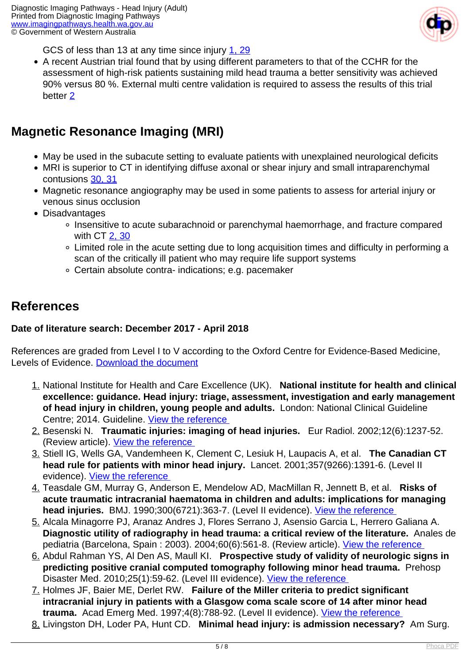

GCS of less than 13 at any time since injury [1, 29](index.php?option=com_content&view=article&id=111&tab=references)

A recent Austrian trial found that by using different parameters to that of the CCHR for the assessment of high-risk patients sustaining mild head trauma a better sensitivity was achieved 90% versus 80 %. External multi centre validation is required to assess the results of this trial better [2](index.php?option=com_content&view=article&id=111&tab=references)

### **Magnetic Resonance Imaging (MRI)**

- May be used in the subacute setting to evaluate patients with unexplained neurological deficits
- MRI is superior to CT in identifying diffuse axonal or shear injury and small intraparenchymal contusions [30, 31](index.php?option=com_content&view=article&id=111&tab=references)
- Magnetic resonance angiography may be used in some patients to assess for arterial injury or venous sinus occlusion
- Disadvantages
	- Insensitive to acute subarachnoid or parenchymal haemorrhage, and fracture compared with CT [2, 30](index.php?option=com_content&view=article&id=111&tab=references)
	- Limited role in the acute setting due to long acquisition times and difficulty in performing a scan of the critically ill patient who may require life support systems
	- Certain absolute contra- indications; e.g. pacemaker

### **References**

### **Date of literature search: December 2017 - April 2018**

References are graded from Level I to V according to the Oxford Centre for Evidence-Based Medicine, Levels of Evidence. [Download the document](http://www.cebm.net/wp-content/uploads/2014/06/CEBM-Levels-of-Evidence-2.1.pdf)

- 1. National Institute for Health and Care Excellence (UK). **National institute for health and clinical excellence: guidance. Head injury: triage, assessment, investigation and early management of head injury in children, young people and adults.** London: National Clinical Guideline Centre; 2014. Guideline. [View the reference](https://www.ncbi.nlm.nih.gov/pubmed/25340248 )
- 2. Besenski N. **Traumatic injuries: imaging of head injuries.** Eur Radiol. 2002;12(6):1237-52. (Review article). [View the reference](http://www.ncbi.nlm.nih.gov/pubmed/12042929 )
- 3. Stiell IG, Wells GA, Vandemheen K, Clement C, Lesiuk H, Laupacis A, et al. **The Canadian CT head rule for patients with minor head injury.** Lancet. 2001;357(9266):1391-6. (Level II evidence). [View the reference](http://www.ncbi.nlm.nih.gov/pubmed/11356436 )
- 4. Teasdale GM, Murray G, Anderson E, Mendelow AD, MacMillan R, Jennett B, et al. **Risks of acute traumatic intracranial haematoma in children and adults: implications for managing head injuries.** BMJ. 1990;300(6721):363-7. (Level II evidence). [View the reference](http://www.ncbi.nlm.nih.gov/pubmed/2106986 )
- 5. Alcala Minagorre PJ, Aranaz Andres J, Flores Serrano J, Asensio Garcia L, Herrero Galiana A. **Diagnostic utility of radiography in head trauma: a critical review of the literature.** Anales de pediatria (Barcelona, Spain : 2003). 2004;60(6):561-8. (Review article). [View the reference](https://www.ncbi.nlm.nih.gov/pubmed/15207169 )
- 6. Abdul Rahman YS, Al Den AS, Maull KI. **Prospective study of validity of neurologic signs in predicting positive cranial computed tomography following minor head trauma.** Prehosp Disaster Med. 2010;25(1):59-62. (Level III evidence). View the reference
- 7. Holmes JF, Baier ME, Derlet RW. **Failure of the Miller criteria to predict significant intracranial injury in patients with a Glasgow coma scale score of 14 after minor head trauma.** Acad Emerg Med. 1997;4(8):788-92. (Level II evidence). [View the reference](http://www.ncbi.nlm.nih.gov/pubmed/9262697 )
- 8. Livingston DH, Loder PA, Hunt CD. **Minimal head injury: is admission necessary?** Am Surg.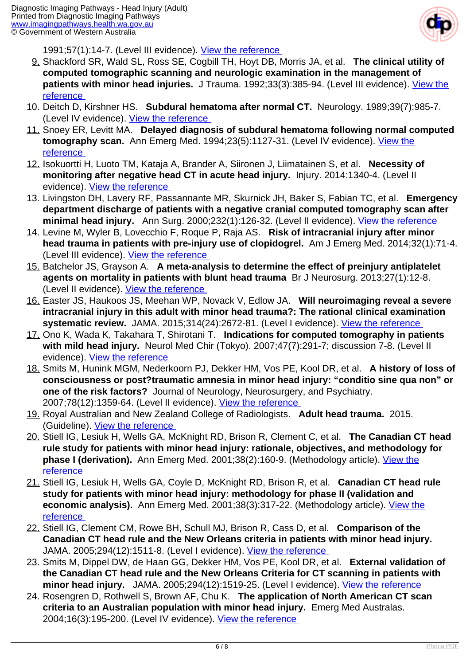

1991;57(1):14-7. (Level III evidence). [View the reference](http://www.ncbi.nlm.nih.gov/pubmed/1796791 ) 

- 9. Shackford SR, Wald SL, Ross SE, Cogbill TH, Hoyt DB, Morris JA, et al. **The clinical utility of computed tomographic scanning and neurologic examination in the management of** patients with minor head injuries. J Trauma. 1992;33(3):385-94. (Level III evidence). *View the* [reference](http://www.ncbi.nlm.nih.gov/pubmed/1404507 )
- 10. Deitch D, Kirshner HS. **Subdural hematoma after normal CT.** Neurology. 1989;39(7):985-7. (Level IV evidence). View the reference
- 11. Snoey ER, Levitt MA. **Delayed diagnosis of subdural hematoma following normal computed tomography scan.** Ann Emerg Med. 1994;23(5):1127-31. (Level IV evidence). [View the](http://www.ncbi.nlm.nih.gov/pubmed/8185112 ) [reference](http://www.ncbi.nlm.nih.gov/pubmed/8185112 )
- 12. Isokuortti H, Luoto TM, Kataja A, Brander A, Siironen J, Liimatainen S, et al. **Necessity of monitoring after negative head CT in acute head injury.** Injury. 2014:1340-4. (Level II evidence). [View the reference](http://www.ncbi.nlm.nih.gov/pubmed/24810669 )
- 13. Livingston DH, Lavery RF, Passannante MR, Skurnick JH, Baker S, Fabian TC, et al. **Emergency department discharge of patients with a negative cranial computed tomography scan after minimal head injury.** Ann Surg. 2000;232(1):126-32. (Level II evidence). [View the reference](http://www.ncbi.nlm.nih.gov/pubmed/10862205 )
- 14. Levine M, Wyler B, Lovecchio F, Roque P, Raja AS. **Risk of intracranial injury after minor head trauma in patients with pre-injury use of clopidogrel.** Am J Emerg Med. 2014;32(1):71-4. (Level III evidence). [View the reference](http://www.ncbi.nlm.nih.gov/pubmed/24119451 )
- 15. Batchelor JS, Grayson A. **A meta-analysis to determine the effect of preinjury antiplatelet agents on mortality in patients with blunt head trauma** Br J Neurosurg. 2013;27(1):12-8. (Level II evidence). [View the reference](http://www.ncbi.nlm.nih.gov/pubmed/22900511 )
- 16. Easter JS, Haukoos JS, Meehan WP, Novack V, Edlow JA. **Will neuroimaging reveal a severe intracranial injury in this adult with minor head trauma?: The rational clinical examination** systematic review. JAMA. 2015;314(24):2672-81. (Level I evidence). *View the reference*
- 17. Ono K, Wada K, Takahara T, Shirotani T. **Indications for computed tomography in patients with mild head injury.** Neurol Med Chir (Tokyo). 2007;47(7):291-7; discussion 7-8. (Level II evidence). View the reference
- 18. Smits M, Hunink MGM, Nederkoorn PJ, Dekker HM, Vos PE, Kool DR, et al. **A history of loss of consciousness or post?traumatic amnesia in minor head injury: "conditio sine qua non" or one of the risk factors?** Journal of Neurology, Neurosurgery, and Psychiatry. 2007;78(12):1359-64. (Level II evidence). [View the reference](http://www.ncbi.nlm.nih.gov/pmc/articles/PMC2095595/ )
- 19. Royal Australian and New Zealand College of Radiologists. **Adult head trauma.** 2015. (Guideline). [View the reference](https://www.ranzcr.com/documents/3812-cdr-summary-canadian-ct-head-rule/file )
- 20. Stiell IG, Lesiuk H, Wells GA, McKnight RD, Brison R, Clement C, et al. **The Canadian CT head rule study for patients with minor head injury: rationale, objectives, and methodology for phase I (derivation).** Ann Emerg Med. 2001;38(2):160-9. (Methodology article). [View the](http://www.ncbi.nlm.nih.gov/pubmed/11468612 ) [reference](http://www.ncbi.nlm.nih.gov/pubmed/11468612 )
- 21. Stiell IG, Lesiuk H, Wells GA, Coyle D, McKnight RD, Brison R, et al. **Canadian CT head rule study for patients with minor head injury: methodology for phase II (validation and economic analysis).** Ann Emerg Med. 2001;38(3):317-22. (Methodology article). [View the](http://www.ncbi.nlm.nih.gov/pubmed/11524653 ) [reference](http://www.ncbi.nlm.nih.gov/pubmed/11524653 )
- 22. Stiell IG, Clement CM, Rowe BH, Schull MJ, Brison R, Cass D, et al. **Comparison of the Canadian CT head rule and the New Orleans criteria in patients with minor head injury.**  JAMA. 2005;294(12):1511-8. (Level I evidence). View the reference
- 23. Smits M, Dippel DW, de Haan GG, Dekker HM, Vos PE, Kool DR, et al. **External validation of the Canadian CT head rule and the New Orleans Criteria for CT scanning in patients with minor head injury.** JAMA. 2005;294(12):1519-25. (Level I evidence). [View the reference](http://www.ncbi.nlm.nih.gov/pubmed/16189365 )
- 24. Rosengren D, Rothwell S, Brown AF, Chu K. **The application of North American CT scan criteria to an Australian population with minor head injury.** Emerg Med Australas. 2004;16(3):195-200. (Level IV evidence). [View the reference](http://www.ncbi.nlm.nih.gov/pubmed/15228461 )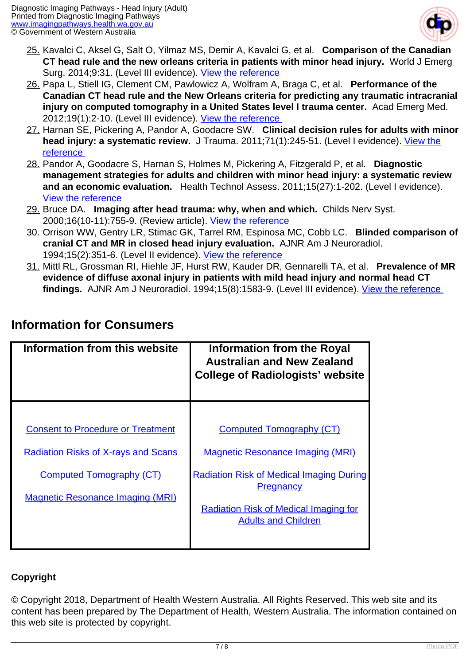

- 25. Kavalci C, Aksel G, Salt O, Yilmaz MS, Demir A, Kavalci G, et al. **Comparison of the Canadian CT head rule and the new orleans criteria in patients with minor head injury.** World J Emerg Surg. 2014;9:31. (Level III evidence). View the reference
- 26. Papa L, Stiell IG, Clement CM, Pawlowicz A, Wolfram A, Braga C, et al. **Performance of the Canadian CT head rule and the New Orleans criteria for predicting any traumatic intracranial injury on computed tomography in a United States level I trauma center.** Acad Emerg Med. 2012;19(1):2-10. (Level III evidence). [View the reference](http://www.ncbi.nlm.nih.gov/pubmed/22251188 )
- 27. Harnan SE, Pickering A, Pandor A, Goodacre SW. **Clinical decision rules for adults with minor head injury: a systematic review.** J Trauma. 2011;71(1):245-51. (Level I evidence). *View the* [reference](http://www.ncbi.nlm.nih.gov/pubmed/21818031 )
- 28. Pandor A, Goodacre S, Harnan S, Holmes M, Pickering A, Fitzgerald P, et al. **Diagnostic management strategies for adults and children with minor head injury: a systematic review and an economic evaluation.** Health Technol Assess. 2011;15(27):1-202. (Level I evidence). [View the reference](http://www.ncbi.nlm.nih.gov/pubmed/21806873 )
- 29. Bruce DA. **Imaging after head trauma: why, when and which.** Childs Nerv Syst. 2000;16(10-11):755-9. (Review article). [View the reference](https://www.ncbi.nlm.nih.gov/pubmed/11151728 )
- 30. Orrison WW, Gentry LR, Stimac GK, Tarrel RM, Espinosa MC, Cobb LC. **Blinded comparison of cranial CT and MR in closed head injury evaluation.** AJNR Am J Neuroradiol. 1994;15(2):351-6. (Level II evidence). [View the reference](http://www.ncbi.nlm.nih.gov/pubmed/8192085 )
- 31. Mittl RL, Grossman RI, Hiehle JF, Hurst RW, Kauder DR, Gennarelli TA, et al. **Prevalence of MR evidence of diffuse axonal injury in patients with mild head injury and normal head CT findings.** AJNR Am J Neuroradiol. 1994;15(8):1583-9. (Level III evidence). [View the reference](http://www.ncbi.nlm.nih.gov/pubmed/7985582 )

| <b>Information from this website</b>       | <b>Information from the Royal</b><br><b>Australian and New Zealand</b><br><b>College of Radiologists' website</b> |
|--------------------------------------------|-------------------------------------------------------------------------------------------------------------------|
|                                            |                                                                                                                   |
| <b>Consent to Procedure or Treatment</b>   | <b>Computed Tomography (CT)</b>                                                                                   |
| <b>Radiation Risks of X-rays and Scans</b> | <b>Magnetic Resonance Imaging (MRI)</b>                                                                           |
| <b>Computed Tomography (CT)</b>            | <b>Radiation Risk of Medical Imaging During</b>                                                                   |
| <b>Magnetic Resonance Imaging (MRI)</b>    | <b>Pregnancy</b>                                                                                                  |
|                                            | <b>Radiation Risk of Medical Imaging for</b><br><b>Adults and Children</b>                                        |
|                                            |                                                                                                                   |

### **Information for Consumers**

### **Copyright**

© Copyright 2018, Department of Health Western Australia. All Rights Reserved. This web site and its content has been prepared by The Department of Health, Western Australia. The information contained on this web site is protected by copyright.